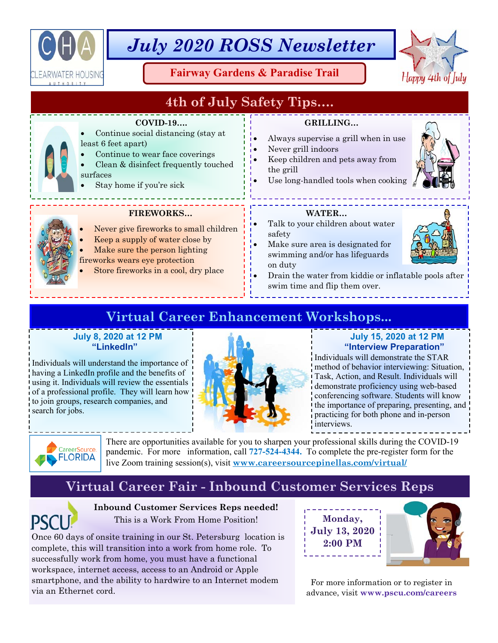

# *July 2020 ROSS Newsletter*

**Fairway Gardens & Paradise Trail** 



## **4th of July Safety Tips….**

## **COVID-19….**

- Continue social distancing (stay at
	- least 6 feet apart) Continue to wear face coverings
	- Clean & disinfect frequently touched surfaces
	- Stay home if you're sick

## **FIREWORKS…**

- Never give fireworks to small children
- Keep a supply of water close by
- Make sure the person lighting
- fireworks wears eye protection
- Store fireworks in a cool, dry place

## **GRILLING…**

- Always supervise a grill when in use
- Never grill indoors
- Keep children and pets away from the grill
- Use long-handled tools when cooking

## **WATER…**

- Talk to your children about water safety
- Make sure area is designated for swimming and/or has lifeguards on duty



 Drain the water from kiddie or inflatable pools after swim time and flip them over.

## **Virtual Career Enhancement Workshops...**

## **July 8, 2020 at 12 PM "LinkedIn"**

Individuals will understand the importance of having a LinkedIn profile and the benefits of using it. Individuals will review the essentials of a professional profile. They will learn how to join groups, research companies, and search for jobs.



## **July 15, 2020 at 12 PM "Interview Preparation"**

Individuals will demonstrate the STAR method of behavior interviewing: Situation, Task, Action, and Result. Individuals will demonstrate proficiency using web-based conferencing software. Students will know the importance of preparing, presenting, and practicing for both phone and in-person interviews.



There are opportunities available for you to sharpen your professional skills during the COVID-19 pandemic. For more information, call **727-524-4344.** To complete the pre-register form for the live Zoom training session(s), visit **www.careersourcepinellas.com/virtual/**

## **Virtual Career Fair - Inbound Customer Services Reps**



**Inbound Customer Services Reps needed!**  This is a Work From Home Position!

Once 60 days of onsite training in our St. Petersburg location is complete, this will transition into a work from home role. To successfully work from home, you must have a functional workspace, internet access, access to an Android or Apple smartphone, and the ability to hardwire to an Internet modem via an Ethernet cord.





For more information or to register in advance, visit **www.pscu.com/careers**